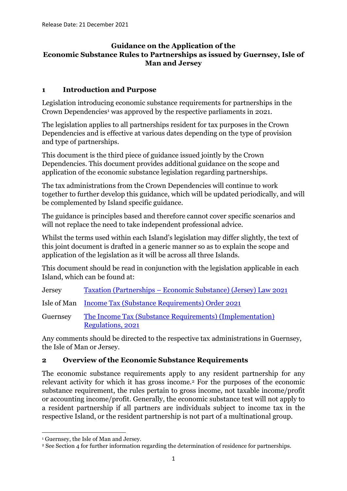### **Guidance on the Application of the Economic Substance Rules to Partnerships as issued by Guernsey, Isle of Man and Jersey**

### **1 Introduction and Purpose**

Legislation introducing economic substance requirements for partnerships in the Crown Dependencies<sup>1</sup> was approved by the respective parliaments in 2021.

The legislation applies to all partnerships resident for tax purposes in the Crown Dependencies and is effective at various dates depending on the type of provision and type of partnerships.

This document is the third piece of guidance issued jointly by the Crown Dependencies. This document provides additional guidance on the scope and application of the economic substance legislation regarding partnerships.

The tax administrations from the Crown Dependencies will continue to work together to further develop this guidance, which will be updated periodically, and will be complemented by Island specific guidance.

The guidance is principles based and therefore cannot cover specific scenarios and will not replace the need to take independent professional advice.

Whilst the terms used within each Island's legislation may differ slightly, the text of this joint document is drafted in a generic manner so as to explain the scope and application of the legislation as it will be across all three Islands.

This document should be read in conjunction with the legislation applicable in each Island, which can be found at:

Jersey Taxation (Partnerships – [Economic Substance\) \(Jersey\) Law 2021](https://www.jerseylaw.je/laws/current/Pages/24.990.aspx)

Isle of Man [Income Tax \(Substance Requirements\) Order 2021](https://www.gov.im/media/1373285/sd-2021-0156-incometax-substance-requirements-order-2021.pdf)

Guernsey [The Income Tax \(Substance Requirements\) \(Implementation\)](https://www.gov.gg/CHttpHandler.ashx?id=141223&p=0)  [Regulations, 2021](https://www.gov.gg/CHttpHandler.ashx?id=141223&p=0)

Any comments should be directed to the respective tax administrations in Guernsey, the Isle of Man or Jersey.

### **2 Overview of the Economic Substance Requirements**

The economic substance requirements apply to any resident partnership for any relevant activity for which it has gross income.<sup>2</sup> For the purposes of the economic substance requirement, the rules pertain to gross income, not taxable income/profit or accounting income/profit. Generally, the economic substance test will not apply to a resident partnership if all partners are individuals subject to income tax in the respective Island, or the resident partnership is not part of a multinational group.

<sup>1</sup> Guernsey, the Isle of Man and Jersey.

<sup>2</sup> See Section 4 for further information regarding the determination of residence for partnerships.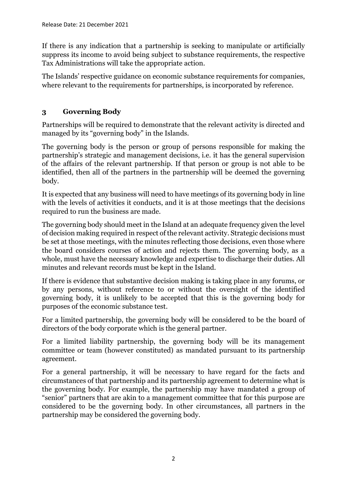If there is any indication that a partnership is seeking to manipulate or artificially suppress its income to avoid being subject to substance requirements, the respective Tax Administrations will take the appropriate action.

The Islands' respective guidance on economic substance requirements for companies, where relevant to the requirements for partnerships, is incorporated by reference.

# **3 Governing Body**

Partnerships will be required to demonstrate that the relevant activity is directed and managed by its "governing body" in the Islands.

The governing body is the person or group of persons responsible for making the partnership's strategic and management decisions, i.e. it has the general supervision of the affairs of the relevant partnership. If that person or group is not able to be identified, then all of the partners in the partnership will be deemed the governing body.

It is expected that any business will need to have meetings of its governing body in line with the levels of activities it conducts, and it is at those meetings that the decisions required to run the business are made.

The governing body should meet in the Island at an adequate frequency given the level of decision making required in respect of the relevant activity. Strategic decisions must be set at those meetings, with the minutes reflecting those decisions, even those where the board considers courses of action and rejects them. The governing body, as a whole, must have the necessary knowledge and expertise to discharge their duties. All minutes and relevant records must be kept in the Island.

If there is evidence that substantive decision making is taking place in any forums, or by any persons, without reference to or without the oversight of the identified governing body, it is unlikely to be accepted that this is the governing body for purposes of the economic substance test.

For a limited partnership, the governing body will be considered to be the board of directors of the body corporate which is the general partner.

For a limited liability partnership, the governing body will be its management committee or team (however constituted) as mandated pursuant to its partnership agreement.

For a general partnership, it will be necessary to have regard for the facts and circumstances of that partnership and its partnership agreement to determine what is the governing body. For example, the partnership may have mandated a group of "senior" partners that are akin to a management committee that for this purpose are considered to be the governing body. In other circumstances, all partners in the partnership may be considered the governing body.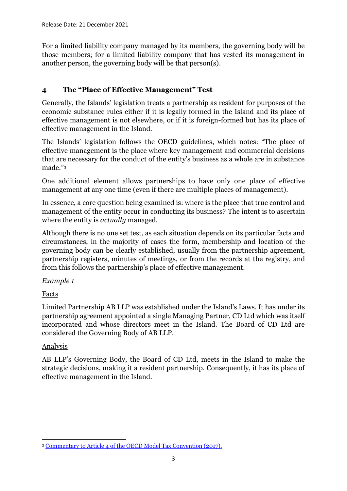For a limited liability company managed by its members, the governing body will be those members; for a limited liability company that has vested its management in another person, the governing body will be that person(s).

## **4 The "Place of Effective Management" Test**

Generally, the Islands' legislation treats a partnership as resident for purposes of the economic substance rules either if it is legally formed in the Island and its place of effective management is not elsewhere, or if it is foreign-formed but has its place of effective management in the Island.

The Islands' legislation follows the OECD guidelines, which notes: "The place of effective management is the place where key management and commercial decisions that are necessary for the conduct of the entity's business as a whole are in substance made."<sup>3</sup>

One additional element allows partnerships to have only one place of effective management at any one time (even if there are multiple places of management).

In essence, a core question being examined is: where is the place that true control and management of the entity occur in conducting its business? The intent is to ascertain where the entity is *actually* managed.

Although there is no one set test, as each situation depends on its particular facts and circumstances, in the majority of cases the form, membership and location of the governing body can be clearly established, usually from the partnership agreement, partnership registers, minutes of meetings, or from the records at the registry, and from this follows the partnership's place of effective management.

*Example 1*

Facts

Limited Partnership AB LLP was established under the Island's Laws. It has under its partnership agreement appointed a single Managing Partner, CD Ltd which was itself incorporated and whose directors meet in the Island. The Board of CD Ltd are considered the Governing Body of AB LLP.

## Analysis

AB LLP's Governing Body, the Board of CD Ltd, meets in the Island to make the strategic decisions, making it a resident partnership. Consequently, it has its place of effective management in the Island.

<sup>3</sup> [Commentary to Article 4 of the OECD Model Tax Convention \(2017\).](https://read.oecd-ilibrary.org/taxation/model-tax-convention-on-income-and-on-capital-condensed-version-2017_mtc_cond-2017-en#page107)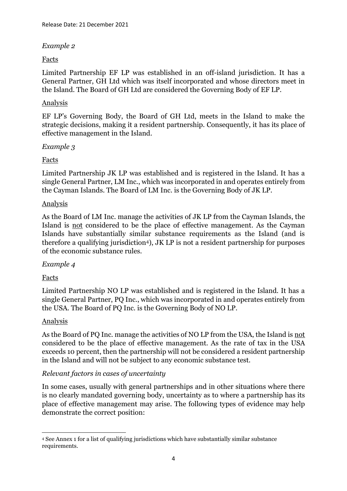### *Example 2*

### Facts

Limited Partnership EF LP was established in an off-island jurisdiction. It has a General Partner, GH Ltd which was itself incorporated and whose directors meet in the Island. The Board of GH Ltd are considered the Governing Body of EF LP.

#### Analysis

EF LP's Governing Body, the Board of GH Ltd, meets in the Island to make the strategic decisions, making it a resident partnership. Consequently, it has its place of effective management in the Island.

#### *Example 3*

### Facts

Limited Partnership JK LP was established and is registered in the Island. It has a single General Partner, LM Inc., which was incorporated in and operates entirely from the Cayman Islands. The Board of LM Inc. is the Governing Body of JK LP.

### Analysis

As the Board of LM Inc. manage the activities of JK LP from the Cayman Islands, the Island is not considered to be the place of effective management. As the Cayman Islands have substantially similar substance requirements as the Island (and is therefore a qualifying jurisdiction4), JK LP is not a resident partnership for purposes of the economic substance rules.

#### *Example 4*

### Facts

Limited Partnership NO LP was established and is registered in the Island. It has a single General Partner, PQ Inc., which was incorporated in and operates entirely from the USA. The Board of PQ Inc. is the Governing Body of NO LP.

### Analysis

As the Board of PQ Inc. manage the activities of NO LP from the USA, the Island is not considered to be the place of effective management. As the rate of tax in the USA exceeds 10 percent, then the partnership will not be considered a resident partnership in the Island and will not be subject to any economic substance test.

### *Relevant factors in cases of uncertainty*

In some cases, usually with general partnerships and in other situations where there is no clearly mandated governing body, uncertainty as to where a partnership has its place of effective management may arise. The following types of evidence may help demonstrate the correct position:

<sup>4</sup> See Annex 1 for a list of qualifying jurisdictions which have substantially similar substance requirements.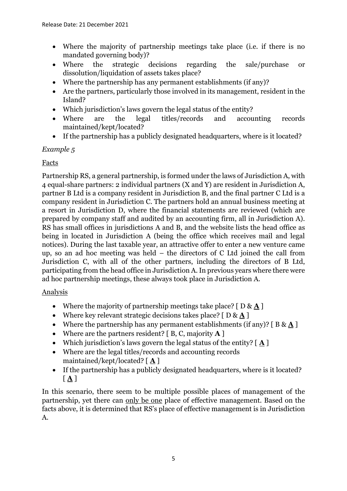- Where the majority of partnership meetings take place (i.e. if there is no mandated governing body)?
- Where the strategic decisions regarding the sale/purchase or dissolution/liquidation of assets takes place?
- Where the partnership has any permanent establishments (if any)?
- Are the partners, particularly those involved in its management, resident in the Island?
- Which jurisdiction's laws govern the legal status of the entity?
- Where are the legal titles/records and accounting records maintained/kept/located?
- If the partnership has a publicly designated headquarters, where is it located?

*Example 5*

## Facts

Partnership RS, a general partnership, is formed under the laws of Jurisdiction A, with 4 equal-share partners: 2 individual partners (X and Y) are resident in Jurisdiction A, partner B Ltd is a company resident in Jurisdiction B, and the final partner C Ltd is a company resident in Jurisdiction C. The partners hold an annual business meeting at a resort in Jurisdiction D, where the financial statements are reviewed (which are prepared by company staff and audited by an accounting firm, all in Jurisdiction A). RS has small offices in jurisdictions A and B, and the website lists the head office as being in located in Jurisdiction A (being the office which receives mail and legal notices). During the last taxable year, an attractive offer to enter a new venture came up, so an ad hoc meeting was held – the directors of C Ltd joined the call from Jurisdiction C, with all of the other partners, including the directors of B Ltd, participating from the head office in Jurisdiction A. In previous years where there were ad hoc partnership meetings, these always took place in Jurisdiction A.

### Analysis

- Where the majority of partnership meetings take place? [ D & **A** ]
- Where key relevant strategic decisions takes place? [ D & **A** ]
- Where the partnership has any permanent establishments (if any)? [ B & **A** ]
- Where are the partners resident? [ B, C, majority **A** ]
- Which jurisdiction's laws govern the legal status of the entity? [ **A** ]
- Where are the legal titles/records and accounting records maintained/kept/located? [ **A** ]
- If the partnership has a publicly designated headquarters, where is it located? [ **A** ]

In this scenario, there seem to be multiple possible places of management of the partnership, yet there can only be one place of effective management. Based on the facts above, it is determined that RS's place of effective management is in Jurisdiction A.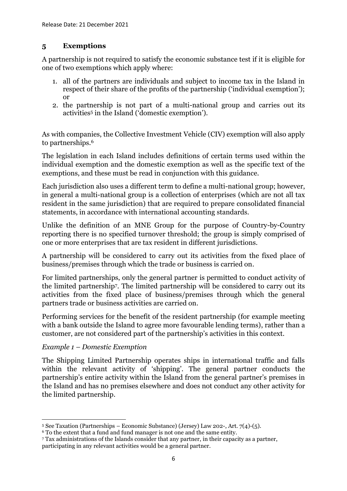## **5 Exemptions**

A partnership is not required to satisfy the economic substance test if it is eligible for one of two exemptions which apply where:

- 1. all of the partners are individuals and subject to income tax in the Island in respect of their share of the profits of the partnership ('individual exemption'); or
- 2. the partnership is not part of a multi-national group and carries out its activities<sup>5</sup> in the Island ('domestic exemption').

As with companies, the Collective Investment Vehicle (CIV) exemption will also apply to partnerships.<sup>6</sup>

The legislation in each Island includes definitions of certain terms used within the individual exemption and the domestic exemption as well as the specific text of the exemptions, and these must be read in conjunction with this guidance.

Each jurisdiction also uses a different term to define a multi-national group; however, in general a multi-national group is a collection of enterprises (which are not all tax resident in the same jurisdiction) that are required to prepare consolidated financial statements, in accordance with international accounting standards.

Unlike the definition of an MNE Group for the purpose of Country-by-Country reporting there is no specified turnover threshold; the group is simply comprised of one or more enterprises that are tax resident in different jurisdictions.

A partnership will be considered to carry out its activities from the fixed place of business/premises through which the trade or business is carried on.

For limited partnerships, only the general partner is permitted to conduct activity of the limited partnership7. The limited partnership will be considered to carry out its activities from the fixed place of business/premises through which the general partners trade or business activities are carried on.

Performing services for the benefit of the resident partnership (for example meeting with a bank outside the Island to agree more favourable lending terms), rather than a customer, are not considered part of the partnership's activities in this context.

## *Example 1 – Domestic Exemption*

The Shipping Limited Partnership operates ships in international traffic and falls within the relevant activity of 'shipping'. The general partner conducts the partnership's entire activity within the Island from the general partner's premises in the Island and has no premises elsewhere and does not conduct any other activity for the limited partnership.

<sup>7</sup> Tax administrations of the Islands consider that any partner, in their capacity as a partner, participating in any relevant activities would be a general partner.

<sup>5</sup> See Taxation (Partnerships – Economic Substance) (Jersey) Law 202-, Art. 7(4)-(5).

<sup>6</sup> To the extent that a fund and fund manager is not one and the same entity.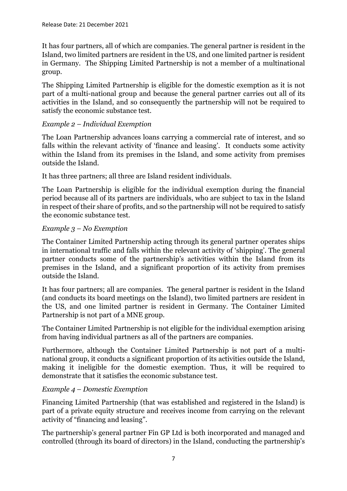It has four partners, all of which are companies. The general partner is resident in the Island, two limited partners are resident in the US, and one limited partner is resident in Germany. The Shipping Limited Partnership is not a member of a multinational group.

The Shipping Limited Partnership is eligible for the domestic exemption as it is not part of a multi-national group and because the general partner carries out all of its activities in the Island, and so consequently the partnership will not be required to satisfy the economic substance test.

## *Example 2 – Individual Exemption*

The Loan Partnership advances loans carrying a commercial rate of interest, and so falls within the relevant activity of 'finance and leasing'. It conducts some activity within the Island from its premises in the Island, and some activity from premises outside the Island.

It has three partners; all three are Island resident individuals.

The Loan Partnership is eligible for the individual exemption during the financial period because all of its partners are individuals, who are subject to tax in the Island in respect of their share of profits, and so the partnership will not be required to satisfy the economic substance test.

### *Example 3 – No Exemption*

The Container Limited Partnership acting through its general partner operates ships in international traffic and falls within the relevant activity of 'shipping'. The general partner conducts some of the partnership's activities within the Island from its premises in the Island, and a significant proportion of its activity from premises outside the Island.

It has four partners; all are companies. The general partner is resident in the Island (and conducts its board meetings on the Island), two limited partners are resident in the US, and one limited partner is resident in Germany. The Container Limited Partnership is not part of a MNE group.

The Container Limited Partnership is not eligible for the individual exemption arising from having individual partners as all of the partners are companies.

Furthermore, although the Container Limited Partnership is not part of a multinational group, it conducts a significant proportion of its activities outside the Island, making it ineligible for the domestic exemption. Thus, it will be required to demonstrate that it satisfies the economic substance test.

## *Example 4 – Domestic Exemption*

Financing Limited Partnership (that was established and registered in the Island) is part of a private equity structure and receives income from carrying on the relevant activity of "financing and leasing".

The partnership's general partner Fin GP Ltd is both incorporated and managed and controlled (through its board of directors) in the Island, conducting the partnership's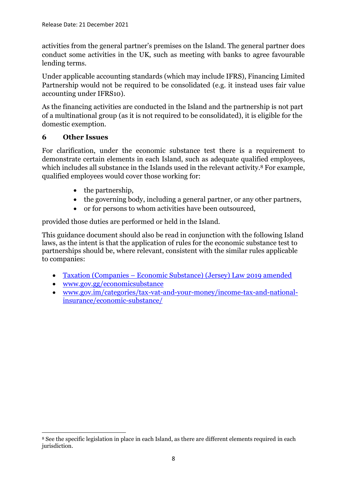activities from the general partner's premises on the Island. The general partner does conduct some activities in the UK, such as meeting with banks to agree favourable lending terms.

Under applicable accounting standards (which may include IFRS), Financing Limited Partnership would not be required to be consolidated (e.g. it instead uses fair value accounting under IFRS10).

As the financing activities are conducted in the Island and the partnership is not part of a multinational group (as it is not required to be consolidated), it is eligible for the domestic exemption.

## **6 Other Issues**

For clarification, under the economic substance test there is a requirement to demonstrate certain elements in each Island, such as adequate qualified employees, which includes all substance in the Islands used in the relevant activity.<sup>8</sup> For example, qualified employees would cover those working for:

- the partnership.
- the governing body, including a general partner, or any other partners,
- or for persons to whom activities have been outsourced,

provided those duties are performed or held in the Island.

This guidance document should also be read in conjunction with the following Island laws, as the intent is that the application of rules for the economic substance test to partnerships should be, where relevant, consistent with the similar rules applicable to companies:

- Taxation (Companies [Economic Substance\) \(Jersey\) Law 2019 amended](https://www.jerseylaw.je/laws/enacted/Pages/L-03-2019.aspx)
- [www.gov.gg/economicsubstance](http://www.gov.gg/economicsubstance)
- [www.gov.im/categories/tax-vat-and-your-money/income-tax-and-national](http://www.gov.im/categories/tax-vat-and-your-money/income-tax-and-national-insurance/economic-substance/)[insurance/economic-substance/](http://www.gov.im/categories/tax-vat-and-your-money/income-tax-and-national-insurance/economic-substance/)

<sup>8</sup> See the specific legislation in place in each Island, as there are different elements required in each jurisdiction.